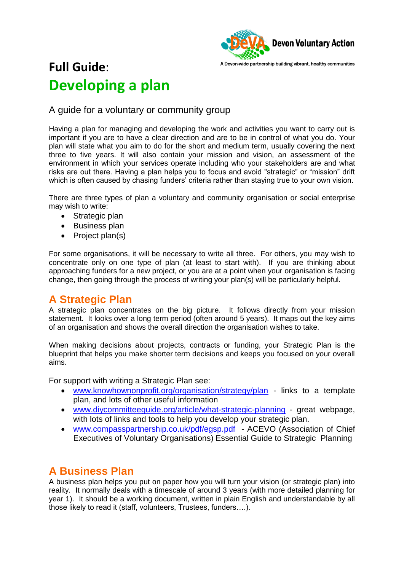

# **Full Guide**: **Developing a plan**

A guide for a voluntary or community group

Having a plan for managing and developing the work and activities you want to carry out is important if you are to have a clear direction and are to be in control of what you do. Your plan will state what you aim to do for the short and medium term, usually covering the next three to five years. It will also contain your mission and vision, an assessment of the environment in which your services operate including who your stakeholders are and what risks are out there. Having a plan helps you to focus and avoid "strategic" or "mission" drift which is often caused by chasing funders' criteria rather than staying true to your own vision.

There are three types of plan a voluntary and community organisation or social enterprise may wish to write:

- Strategic plan
- Business plan
- Project plan(s)

For some organisations, it will be necessary to write all three. For others, you may wish to concentrate only on one type of plan (at least to start with). If you are thinking about approaching funders for a new project, or you are at a point when your organisation is facing change, then going through the process of writing your plan(s) will be particularly helpful.

#### **A Strategic Plan**

A strategic plan concentrates on the big picture. It follows directly from your mission statement. It looks over a long term period (often around 5 years). It maps out the key aims of an organisation and shows the overall direction the organisation wishes to take.

When making decisions about projects, contracts or funding, your Strategic Plan is the blueprint that helps you make shorter term decisions and keeps you focused on your overall aims.

For support with writing a Strategic Plan see:

- [www.knowhownonprofit.org/organisation/strategy/plan](http://www.knowhownonprofit.org/organisation/strategy/plan) links to a template plan, and lots of other useful information
- [www.diycommitteeguide.org/article/what-strategic-planning](http://www.diycommitteeguide.org/article/what-strategic-planning) great webpage, with lots of links and tools to help you develop your strategic plan.
- [www.compasspartnership.co.uk/pdf/egsp.pdf](http://www.compasspartnership.co.uk/pdf/egsp.pdf)  ACEVO (Association of Chief Executives of Voluntary Organisations) Essential Guide to Strategic Planning

## **A Business Plan**

A business plan helps you put on paper how you will turn your vision (or strategic plan) into reality. It normally deals with a timescale of around 3 years (with more detailed planning for year 1). It should be a working document, written in plain English and understandable by all those likely to read it (staff, volunteers, Trustees, funders….).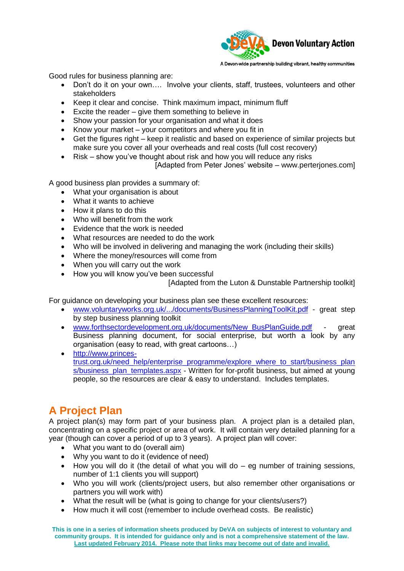

Good rules for business planning are:

- Don't do it on your own.... Involve your clients, staff, trustees, volunteers and other stakeholders
- Keep it clear and concise. Think maximum impact, minimum fluff
- Excite the reader give them something to believe in
- Show your passion for your organisation and what it does
- Know your market your competitors and where you fit in
- Get the figures right keep it realistic and based on experience of similar projects but make sure you cover all your overheads and real costs (full cost recovery)
- Risk show you've thought about risk and how you will reduce any risks

[Adapted from Peter Jones' website – www.perterjones.com]

A good business plan provides a summary of:

- What your organisation is about
- What it wants to achieve
- How it plans to do this
- Who will benefit from the work
- Evidence that the work is needed
- What resources are needed to do the work
- Who will be involved in delivering and managing the work (including their skills)
- Where the money/resources will come from
- When you will carry out the work
- How you will know you've been successful

[Adapted from the Luton & Dunstable Partnership toolkit]

For guidance on developing your business plan see these excellent resources:

- [www.voluntaryworks.org.uk/.../documents/BusinessPlanningToolKit.pdf](http://www.voluntaryworks.org.uk/.../documents/BusinessPlanningToolKit.pdf) great step by step business planning toolkit
- [www.forthsectordevelopment.org.uk/documents/New\\_BusPlanGuide.pdf](http://www.forthsectordevelopment.org.uk/documents/New_BusPlanGuide.pdf) great Business planning document, for social enterprise, but worth a look by any organisation (easy to read, with great cartoons…)
- [http://www.princes](http://www.princes-trust.org.uk/need_help/enterprise_programme/explore_where_to_start/business_plans/business_plan_templates.aspx)[trust.org.uk/need\\_help/enterprise\\_programme/explore\\_where\\_to\\_start/business\\_plan](http://www.princes-trust.org.uk/need_help/enterprise_programme/explore_where_to_start/business_plans/business_plan_templates.aspx) [s/business\\_plan\\_templates.aspx](http://www.princes-trust.org.uk/need_help/enterprise_programme/explore_where_to_start/business_plans/business_plan_templates.aspx) - Written for for-profit business, but aimed at young people, so the resources are clear & easy to understand. Includes templates.

## **A Project Plan**

A project plan(s) may form part of your business plan. A project plan is a detailed plan, concentrating on a specific project or area of work. It will contain very detailed planning for a year (though can cover a period of up to 3 years). A project plan will cover:

- What you want to do (overall aim)
- Why you want to do it (evidence of need)
- $\bullet$  How you will do it (the detail of what you will do eg number of training sessions, number of 1:1 clients you will support)
- Who you will work (clients/project users, but also remember other organisations or partners you will work with)
- What the result will be (what is going to change for your clients/users?)
- How much it will cost (remember to include overhead costs. Be realistic)

**This is one in a series of information sheets produced by DeVA on subjects of interest to voluntary and community groups. It is intended for guidance only and is not a comprehensive statement of the law. Last updated February 2014. Please note that links may become out of date and invalid.**